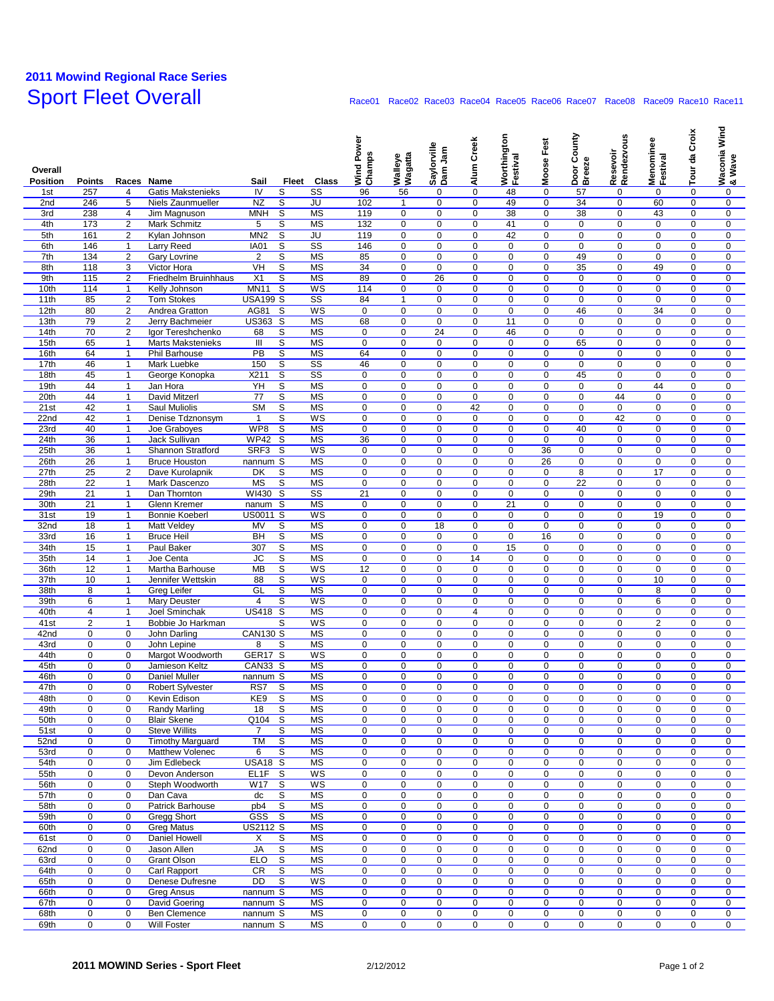## **2011 Mowind Regional Race Series**

## Race01 Race02 Race03 Race04 Race05 Race06 Race07 Race08 Race09 Race10 Race11

| Overall<br><b>Position</b> | <b>Points</b>                    | Races Name                     |                                          | Sail                   | Fleet               | Class                               | Wind Power<br>Champs       | Walleye<br>Wagatta         | Saylorville<br>Dam Jam     | Alum Creek          | Worthington<br>Festival    | Moose Fest                 | County<br>Door C<br>Breeze | Resevoir<br>Rendezvous     | Menominee<br>Festival         | Tour da Croix              | Wind<br>Waconia<br>& Wave  |
|----------------------------|----------------------------------|--------------------------------|------------------------------------------|------------------------|---------------------|-------------------------------------|----------------------------|----------------------------|----------------------------|---------------------|----------------------------|----------------------------|----------------------------|----------------------------|-------------------------------|----------------------------|----------------------------|
| 1st                        | 257                              | 4                              | <b>Gatis Makstenieks</b>                 | IV                     | S                   | $\overline{\text{ss}}$              | 96                         | 56                         | 0                          | $\mathbf 0$         | 48                         | $\mathbf 0$                | 57                         | 0                          | $\mathbf 0$                   | 0                          | 0                          |
| 2nd                        | 246                              | 5                              | Niels Zaunmueller                        | <b>NZ</b>              | S                   | JU                                  | 102                        | $\mathbf{1}$               | $\mathbf 0$                | 0                   | 49                         | $\mathbf 0$                | 34                         | $\mathbf 0$                | 60                            | $\Omega$                   | $\mathbf 0$                |
| 3rd                        | 238                              | $\overline{4}$                 | Jim Magnuson                             | <b>MNH</b>             | S                   | <b>MS</b>                           | 119                        | 0                          | $\mathbf 0$                | 0                   | 38                         | $\mathbf 0$                | 38                         | $\mathbf 0$                | 43                            | 0                          | 0                          |
| 4th                        | 173                              | $\overline{2}$                 | Mark Schmitz                             | 5                      | S                   | <b>MS</b>                           | 132                        | $\mathbf 0$                | 0                          | 0                   | 41                         | $\mathsf 0$                | $\pmb{0}$                  | $\pmb{0}$                  | $\pmb{0}$                     | $\mathbf 0$                | $\mathbf 0$                |
| 5th                        | 161                              | $\overline{2}$                 | Kylan Johnson                            | MN <sub>2</sub>        | S                   | JU                                  | 119                        | $\mathbf 0$                | 0                          | 0                   | 42                         | 0                          | 0                          | $\mathbf 0$                | 0                             | $\mathbf 0$                | 0                          |
| 6th<br>7th                 | 146<br>134                       | 1<br>$\overline{2}$            | Larry Reed<br>Gary Lovrine               | IA01<br>$\overline{2}$ | $\overline{s}$<br>S | $\overline{\text{ss}}$<br><b>MS</b> | 146<br>85                  | 0<br>$\mathbf 0$           | 0<br>0                     | 0<br>0              | $\mathbf 0$<br>$\mathbf 0$ | $\mathbf 0$<br>$\mathsf 0$ | $\mathbf 0$<br>49          | 0<br>$\mathbf 0$           | $\mathbf 0$<br>$\mathbf 0$    | 0<br>$\mathbf 0$           | 0<br>0                     |
| 8th                        | 118                              | 3                              | Victor Hora                              | VH                     | S                   | <b>MS</b>                           | 34                         | $\mathbf 0$                | $\mathbf 0$                | 0                   | $\mathbf 0$                | $\mathbf 0$                | 35                         | $\mathbf 0$                | 49                            | $\mathbf 0$                | $\mathbf 0$                |
| 9th                        | 115                              | $\overline{2}$                 | Friedhelm Bruinhhaus                     | X <sub>1</sub>         | S                   | <b>MS</b>                           | 89                         | $\mathbf 0$                | 26                         | 0                   | $\mathbf 0$                | 0                          | $\mathbf 0$                | $\mathbf 0$                | $\mathbf 0$                   | $\mathbf 0$                | 0                          |
| 10th                       | 114                              | $\mathbf{1}$                   | Kelly Johnson                            | <b>MN11</b>            | S                   | WS                                  | 114                        | $\mathbf 0$                | 0                          | 0                   | 0                          | $\mathsf 0$                | $\mathbf 0$                | $\mathbf 0$                | $\mathbf 0$                   | $\mathbf 0$                | 0                          |
| 11th                       | 85                               | $\overline{c}$                 | <b>Tom Stokes</b>                        | <b>USA199 S</b>        |                     | $\overline{\text{ss}}$              | 84                         | $\mathbf{1}$               | 0                          | 0                   | $\mathbf 0$                | 0                          | $\mathbf 0$                | $\mathbf 0$                | $\mathbf 0$                   | $\mathbf 0$                | 0                          |
| 12th                       | 80                               | $\overline{2}$                 | Andrea Gratton                           | <b>AG81</b>            | S                   | WS                                  | 0                          | 0                          | 0                          | 0                   | $\mathbf 0$                | 0                          | 46                         | $\mathbf 0$                | 34                            | 0                          | 0                          |
| 13th<br>14th               | 79<br>70                         | 2<br>$\overline{2}$            | Jerry Bachmeier<br>Igor Tereshchenko     | US363 S<br>68          | S                   | <b>MS</b><br><b>MS</b>              | 68<br>0                    | 0<br>$\mathbf 0$           | 0<br>24                    | 0<br>0              | 11<br>46                   | 0<br>$\mathbf 0$           | $\mathbf 0$<br>$\mathbf 0$ | $\mathbf 0$<br>$\mathbf 0$ | $\mathbf 0$<br>$\mathbf 0$    | 0<br>$\mathbf 0$           | $\mathbf 0$<br>$\mathbf 0$ |
| 15th                       | 65                               | $\mathbf{1}$                   | <b>Marts Makstenieks</b>                 | Ш                      | S                   | <b>MS</b>                           | $\mathbf 0$                | $\mathbf 0$                | $\mathbf 0$                | 0                   | $\mathbf 0$                | $\mathbf 0$                | 65                         | $\mathbf 0$                | $\mathbf 0$                   | $\mathbf 0$                | $\mathbf 0$                |
| 16th                       | 64                               | $\mathbf{1}$                   | <b>Phil Barhouse</b>                     | PB                     | S                   | <b>MS</b>                           | 64                         | $\mathbf 0$                | $\mathbf 0$                | 0                   | $\mathbf 0$                | $\pmb{0}$                  | $\mathbf 0$                | $\mathbf 0$                | $\mathbf 0$                   | $\mathbf 0$                | 0                          |
| 17th                       | 46                               | $\mathbf{1}$                   | Mark Luebke                              | 150                    | S                   | $\overline{\text{ss}}$              | 46                         | $\mathbf 0$                | 0                          | 0                   | $\mathbf 0$                | 0                          | $\mathbf 0$                | $\mathbf 0$                | $\mathbf 0$                   | $\mathbf 0$                | 0                          |
| 18th                       | 45                               | $\mathbf{1}$                   | George Konopka                           | X211                   | S                   | $\overline{\text{ss}}$              | 0                          | 0                          | 0                          | 0                   | $\mathbf 0$                | 0                          | 45                         | $\mathbf 0$                | $\mathbf 0$                   | 0                          | $\mathbf 0$                |
| 19th<br>20th               | 44                               | $\mathbf{1}$<br>$\mathbf{1}$   | Jan Hora<br>David Mitzerl                | YH<br>77               | S<br>S              | <b>MS</b><br><b>MS</b>              | 0<br>$\mathbf 0$           | 0<br>$\mathbf 0$           | $\mathbf 0$<br>$\mathbf 0$ | 0<br>0              | $\mathbf 0$<br>$\mathbf 0$ | $\pmb{0}$<br>$\mathbf 0$   | $\mathbf 0$<br>$\mathbf 0$ | $\mathbf 0$<br>44          | 44<br>$\mathbf 0$             | 0<br>$\mathbf 0$           | 0<br>$\mathbf 0$           |
| 21st                       | 44<br>42                         | $\mathbf{1}$                   | Saul Muliolis                            | <b>SM</b>              | S                   | <b>MS</b>                           | 0                          | 0                          | $\mathbf 0$                | 42                  | $\mathbf 0$                | $\mathbf 0$                | $\mathbf 0$                | $\mathbf 0$                | $\mathbf 0$                   | 0                          | 0                          |
| 22nd                       | 42                               | $\mathbf{1}$                   | Denise Tdznonsym                         | $\mathbf{1}$           | S                   | WS                                  | 0                          | 0                          | $\mathbf 0$                | 0                   | $\mathbf 0$                | $\mathbf 0$                | 0                          | 42                         | $\mathbf 0$                   | 0                          | $\mathbf 0$                |
| 23rd                       | 40                               | $\mathbf{1}$                   | Joe Graboyes                             | WP8                    | S                   | MS                                  | 0                          | $\mathbf 0$                | 0                          | 0                   | $\pmb{0}$                  | $\mathsf 0$                | 40                         | $\mathbf 0$                | $\mathbf 0$                   | $\mathbf 0$                | 0                          |
| 24th                       | 36                               | $\mathbf{1}$                   | Jack Sullivan                            | <b>WP42</b>            | S                   | <b>MS</b>                           | 36                         | $\mathbf 0$                | 0                          | 0                   | 0                          | 0                          | 0                          | $\mathbf 0$                | 0                             | $\mathbf 0$                | 0                          |
| 25th                       | 36                               | $\mathbf{1}$                   | Shannon Stratford                        | SRF3                   | S                   | WS                                  | 0                          | 0                          | 0                          | 0                   | 0                          | 36                         | 0                          | 0                          | 0                             | 0                          | 0                          |
| 26th<br>27th               | 26<br>25                         | $\mathbf{1}$<br>$\overline{2}$ | <b>Bruce Houston</b><br>Dave Kurolapnik  | nannum S<br>DK         | S                   | <b>MS</b><br><b>MS</b>              | $\mathbf 0$<br>$\mathbf 0$ | $\mathbf 0$<br>$\mathbf 0$ | $\mathbf 0$<br>$\mathbf 0$ | 0<br>0              | $\mathbf 0$<br>$\mathbf 0$ | 26<br>$\mathbf 0$          | 0<br>8                     | $\mathbf 0$<br>$\mathbf 0$ | $\mathbf 0$<br>17             | $\mathbf 0$<br>$\mathbf 0$ | $\mathbf 0$<br>$\mathbf 0$ |
| 28th                       | 22                               | $\mathbf{1}$                   | Mark Dascenzo                            | <b>MS</b>              | S                   | <b>MS</b>                           | 0                          | 0                          | 0                          | 0                   | $\mathbf 0$                | 0                          | 22                         | $\mathbf 0$                | $\mathbf 0$                   | 0                          | 0                          |
| 29th                       | 21                               | $\mathbf{1}$                   | Dan Thornton                             | WI430                  | S                   | SS                                  | 21                         | $\mathbf 0$                | 0                          | 0                   | $\pmb{0}$                  | $\mathsf 0$                | $\mathsf 0$                | $\mathbf 0$                | $\mathbf 0$                   | $\mathbf 0$                | 0                          |
| 30th                       | 21                               | $\mathbf{1}$                   | Glenn Kremer                             | nanum                  | S                   | <b>MS</b>                           | $\mathbf 0$                | $\mathbf 0$                | 0                          | 0                   | 21                         | 0                          | $\mathbf 0$                | $\mathbf 0$                | $\mathbf 0$                   | $\mathbf 0$                | 0                          |
| 31st                       | 19                               | $\mathbf{1}$                   | <b>Bonnie Koeberl</b>                    | <b>US0011 S</b>        |                     | WS                                  | $\mathbf 0$                | $\mathbf 0$                | $\mathbf 0$                | 0                   | $\mathbf 0$                | 0                          | 0                          | $\mathbf 0$                | 19                            | $\mathbf 0$                | 0                          |
| 32 <sub>nd</sub>           | 18                               | $\mathbf{1}$                   | Matt Veldey                              | <b>MV</b>              | S                   | <b>MS</b>                           | $\mathbf 0$                | $\mathbf 0$                | 18                         | 0                   | $\mathbf 0$                | 0                          | 0                          | $\mathbf 0$                | $\mathbf 0$                   | 0                          | $\mathbf 0$                |
| 33rd<br>34th               | 16<br>15                         | $\mathbf{1}$<br>$\mathbf{1}$   | <b>Bruce Heil</b><br>Paul Baker          | BH<br>307              | S<br>S              | <b>MS</b><br><b>MS</b>              | $\mathbf 0$<br>$\mathbf 0$ | $\mathbf 0$<br>$\mathbf 0$ | $\mathbf 0$<br>$\mathbf 0$ | 0<br>$\mathbf 0$    | $\mathbf 0$<br>15          | 16<br>$\mathbf 0$          | $\mathbf 0$<br>$\mathbf 0$ | $\mathbf 0$<br>$\mathbf 0$ | $\mathbf 0$<br>$\mathbf 0$    | $\mathbf 0$<br>$\mathbf 0$ | $\mathbf 0$<br>0           |
| 35th                       | 14                               | $\mathbf{1}$                   | Joe Centa                                | <b>JC</b>              | S                   | <b>MS</b>                           | $\mathbf 0$                | $\mathbf 0$                | $\mathbf 0$                | 14                  | $\mathbf 0$                | $\mathsf 0$                | $\mathbf 0$                | $\mathbf 0$                | $\mathbf 0$                   | $\mathbf 0$                | 0                          |
| 36th                       | 12                               | $\mathbf{1}$                   | Martha Barhouse                          | <b>MB</b>              | S                   | WS                                  | 12                         | $\mathbf 0$                | 0                          | 0                   | $\mathbf 0$                | 0                          | 0                          | $\mathbf 0$                | $\mathbf 0$                   | $\mathbf 0$                | 0                          |
| 37th                       | 10                               | $\mathbf{1}$                   | Jennifer Wettskin                        | 88                     | S                   | WS                                  | 0                          | 0                          | 0                          | 0                   | $\mathbf 0$                | 0                          | $\mathbf 0$                | $\mathbf 0$                | 10                            | $\mathbf 0$                | 0                          |
| 38th                       | 8                                | $\mathbf{1}$                   | Greg Leifer                              | GL                     | S                   | <b>MS</b>                           | $\mathbf 0$                | 0                          | $\mathbf 0$                | 0                   | $\mathbf 0$                | $\mathbf 0$                | 0                          | $\mathbf 0$                | 8                             | 0                          | $\mathbf 0$                |
| 39th                       | 6                                | $\mathbf{1}$                   | Mary Deuster                             | 4                      | S                   | WS                                  | $\mathbf 0$                | $\mathbf 0$                | $\mathbf 0$                | 0                   | $\mathbf 0$                | $\mathbf 0$                | $\mathbf 0$                | $\mathbf 0$                | 6                             | $\mathbf 0$                | $\mathbf 0$                |
| 40th<br>41st               | $\overline{4}$<br>$\overline{2}$ | $\mathbf{1}$<br>$\mathbf{1}$   | Joel Sminchak<br>Bobbie Jo Harkman       | <b>US418 S</b>         | S                   | <b>MS</b><br>WS                     | $\mathbf 0$<br>0           | $\mathbf 0$<br>$\mathbf 0$ | 0<br>$\mathbf 0$           | $\overline{4}$<br>0 | $\mathbf 0$<br>$\mathbf 0$ | 0<br>$\mathbf 0$           | $\mathbf 0$<br>0           | $\mathbf 0$<br>$\mathbf 0$ | $\mathbf 0$<br>$\overline{2}$ | $\mathbf 0$<br>$\mathbf 0$ | 0<br>0                     |
| 42nd                       | 0                                | 0                              | John Darling                             | <b>CAN130 S</b>        |                     | MS                                  | $\mathbf 0$                | 0                          | 0                          | 0                   | $\pmb{0}$                  | $\mathsf 0$                | $\mathbf 0$                | $\pmb{0}$                  | $\mathbf 0$                   | $\mathbf 0$                | $\pmb{0}$                  |
| 43rd                       | 0                                | 0                              | John Lepine                              | 8                      | S                   | MS                                  | 0                          | 0                          | 0                          | 0                   | 0                          | 0                          | 0                          | 0                          | 0                             | 0                          | 0                          |
| 44th                       | 0                                | 0                              | Margot Woodworth                         | GER17 S                |                     | WS                                  | 0                          | 0                          | 0                          | 0                   | 0                          | $\mathbf 0$                | 0                          | $\mathbf 0$                | $\mathbf 0$                   | 0                          | 0                          |
| 45th                       | $\mathbf 0$                      | 0                              | Jamieson Keltz                           | CAN33 S                |                     | <b>MS</b>                           | $\mathbf 0$                | $\mathbf 0$                | $\mathbf 0$                | 0                   | $\mathbf 0$                | $\mathsf 0$                | 0                          | $\mathbf 0$                | $\mathbf 0$                   | $\mathbf 0$                | $\mathbf 0$                |
| 46th<br>47th               | 0<br>$\Omega$                    | 0<br>0                         | Daniel Muller<br><b>Robert Sylvester</b> | nannum S<br>RS7        | S                   | <b>MS</b><br><b>MS</b>              | 0<br>0                     | 0<br>0                     | 0<br>$\Omega$              | 0<br>$\Omega$       | 0<br>$\mathbf 0$           | $\mathbf 0$<br>$\mathbf 0$ | 0<br>$\Omega$              | 0<br>$\mathbf 0$           | 0<br>$\mathbf 0$              | 0<br>$\mathbf 0$           | 0<br>$\mathbf 0$           |
| 48th                       | 0                                | 0                              | Kevin Edison                             | KE <sub>9</sub>        | S                   | MS                                  | 0                          | 0                          | 0                          | 0                   | 0                          | 0                          | 0                          | 0                          | 0                             | 0                          | 0                          |
| 49th                       | 0                                | 0                              | <b>Randy Marling</b>                     | 18                     | S                   | MS                                  | 0                          | 0                          | 0                          | $\mathbf 0$         | $\mathbf 0$                | 0                          | $\mathbf 0$                | $\mathbf 0$                | $\pmb{0}$                     | $\mathbf 0$                | 0                          |
| 50th                       | 0                                | $\mathbf 0$                    | <b>Blair Skene</b>                       | Q104                   | S                   | MS                                  | 0                          | 0                          | 0                          | 0                   | $\mathbf 0$                | 0                          | 0                          | 0                          | $\mathbf 0$                   | 0                          | 0                          |
| 51st                       | 0                                | 0                              | <b>Steve Willits</b>                     | 7                      | S                   | MS                                  | 0                          | 0                          | 0                          | 0                   | $\mathbf 0$                | 0                          | $\mathbf 0$                | $\mathbf 0$                | $\mathbf 0$                   | $\mathbf 0$                | 0                          |
| 52nd                       | 0                                | 0                              | <b>Timothy Marguard</b>                  | <b>TM</b>              | S                   | MS                                  | 0                          | 0                          | 0                          | 0                   | $\mathbf 0$                | 0                          | $\mathbf 0$                | $\mathbf 0$                | $\mathbf 0$                   | $\mathbf 0$                | $\mathbf 0$                |
| 53rd<br>54th               | 0<br>0                           | $\mathbf 0$<br>0               | Matthew Volenec<br>Jim Edlebeck          | 6<br><b>USA18 S</b>    | S                   | <b>MS</b><br>MS                     | $\mathbf 0$<br>0           | $\mathbf 0$<br>0           | 0<br>0                     | 0<br>0              | $\mathbf 0$<br>$\mathbf 0$ | 0<br>0                     | $\mathbf 0$<br>$\mathbf 0$ | $\mathbf 0$<br>$\pmb{0}$   | $\mathbf 0$<br>$\pmb{0}$      | $\mathbf 0$<br>$\mathbf 0$ | 0<br>0                     |
| 55th                       | 0                                | 0                              | Devon Anderson                           | EL1F                   | S                   | WS                                  | 0                          | 0                          | 0                          | 0                   | $\mathbf 0$                | 0                          | $\mathbf 0$                | $\mathbf 0$                | $\pmb{0}$                     | 0                          | 0                          |
| 56th                       | 0                                | 0                              | Steph Woodworth                          | W17                    | S                   | WS                                  | 0                          | 0                          | 0                          | 0                   | $\mathbf 0$                | 0                          | $\pmb{0}$                  | $\pmb{0}$                  | $\pmb{0}$                     | $\mathbf 0$                | 0                          |
| 57th                       | 0                                | 0                              | Dan Cava                                 | dc                     | S                   | <b>MS</b>                           | 0                          | 0                          | 0                          | 0                   | $\mathbf 0$                | 0                          | $\mathbf 0$                | $\mathbf 0$                | $\mathbf 0$                   | 0                          | 0                          |
| 58th                       | 0                                | 0                              | Patrick Barhouse                         | pb4                    | S                   | MS                                  | 0                          | 0                          | 0                          | 0                   | $\mathbf 0$                | $\mathbf 0$                | $\mathbf 0$                | $\mathbf 0$                | $\mathbf 0$                   | $\mathbf 0$                | $\mathbf 0$                |
| 59th                       | 0                                | 0                              | <b>Gregg Short</b>                       | <b>GSS</b>             | S                   | MS                                  | 0                          | 0                          | 0                          | $\mathbf 0$         | $\mathbf 0$                | 0                          | $\mathbf 0$                | $\mathbf 0$                | $\pmb{0}$                     | $\mathbf 0$                | 0                          |
| 60th<br>61st               | 0<br>0                           | 0<br>0                         | <b>Greg Matus</b><br>Daniel Howell       | US2112 S<br>X          | S                   | <b>MS</b><br>MS                     | $\mathbf 0$<br>0           | $\mathbf 0$<br>0           | 0<br>0                     | $\mathbf 0$<br>0    | $\mathbf 0$<br>$\pmb{0}$   | 0<br>0                     | $\mathbf 0$<br>$\pmb{0}$   | $\mathbf 0$<br>$\pmb{0}$   | $\mathbf 0$<br>$\pmb{0}$      | $\mathbf 0$<br>$\mathbf 0$ | 0<br>0                     |
| 62nd                       | 0                                | 0                              | Jason Allen                              | JA                     | S                   | MS                                  | 0                          | 0                          | 0                          | 0                   | $\mathbf 0$                | 0                          | $\pmb{0}$                  | $\pmb{0}$                  | $\pmb{0}$                     | 0                          | 0                          |
| 63rd                       | 0                                | 0                              | Grant Olson                              | <b>ELO</b>             | S                   | MS                                  | 0                          | 0                          | 0                          | 0                   | $\mathbf 0$                | 0                          | 0                          | $\mathbf 0$                | $\mathbf 0$                   | 0                          | 0                          |
| 64th                       | 0                                | 0                              | Carl Rapport                             | CR                     | S                   | MS                                  | 0                          | 0                          | 0                          | 0                   | $\mathbf 0$                | 0                          | $\mathbf 0$                | $\mathbf 0$                | $\pmb{0}$                     | 0                          | 0                          |
| 65th                       | 0                                | 0                              | Denese Dufresne                          | DD                     | S                   | WS                                  | $\mathbf 0$                | 0                          | 0                          | $\mathbf 0$         | $\mathbf 0$                | 0                          | $\mathbf 0$                | $\mathbf 0$                | $\mathbf 0$                   | $\mathbf 0$                | 0                          |
| 66th                       | 0                                | 0                              | <b>Greg Ansus</b>                        | nannum S               |                     | MS                                  | 0                          | $\pmb{0}$                  | 0                          | $\mathbf 0$         | $\mathbf 0$                | 0                          | $\mathbf 0$                | $\mathbf 0$                | $\mathbf 0$                   | $\mathbf 0$                | 0                          |
| 67th<br>68th               | $\mathbf 0$<br>0                 | 0<br>0                         | David Goering<br><b>Ben Clemence</b>     | nannum S<br>nannum S   |                     | <b>MS</b><br>MS                     | 0<br>0                     | 0<br>0                     | 0<br>0                     | $\mathbf 0$<br>0    | $\pmb{0}$<br>$\pmb{0}$     | $\mathsf 0$<br>0           | $\mathbf 0$<br>0           | $\mathbf 0$<br>0           | $\mathbf 0$<br>$\pmb{0}$      | 0<br>0                     | 0<br>0                     |
| 69th                       | 0                                | 0                              | <b>Will Foster</b>                       | nannum S               |                     | MS                                  | 0                          | 0                          | 0                          | $\mathbf 0$         | $\pmb{0}$                  | $\mathsf 0$                | $\pmb{0}$                  | $\pmb{0}$                  | $\pmb{0}$                     | 0                          | $\mathbf 0$                |